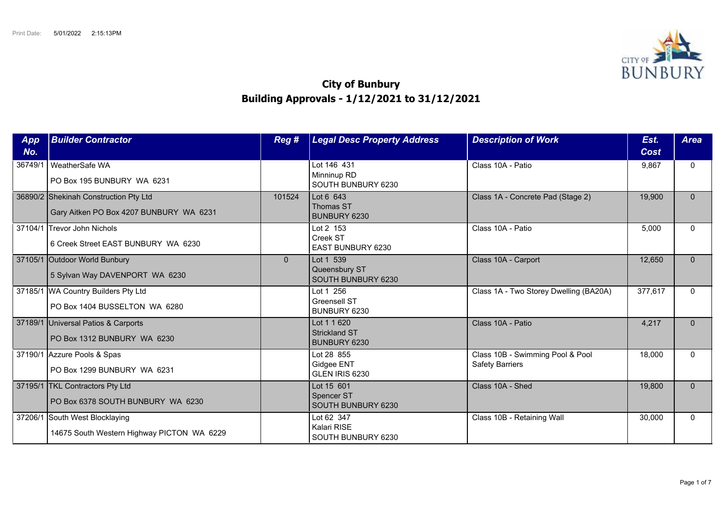

## **City of Bunbury Building Approvals - 1/12/2021 to 31/12/2021**

| App<br>No. | <b>Builder Contractor</b>                                                        | Reg #          | <b>Legal Desc Property Address</b>                    | <b>Description of Work</b>                                 | Est.<br>Cost | <b>Area</b>  |
|------------|----------------------------------------------------------------------------------|----------------|-------------------------------------------------------|------------------------------------------------------------|--------------|--------------|
| 36749/1    | I WeatherSafe WA<br>PO Box 195 BUNBURY WA 6231                                   |                | Lot 146 431<br>Minninup RD<br>SOUTH BUNBURY 6230      | Class 10A - Patio                                          | 9,867        | $\mathbf{0}$ |
|            | 36890/2 Shekinah Construction Pty Ltd<br>Gary Aitken PO Box 4207 BUNBURY WA 6231 | 101524         | Lot 6 643<br>Thomas ST<br>BUNBURY 6230                | Class 1A - Concrete Pad (Stage 2)                          | 19,900       | $\Omega$     |
|            | 37104/1 Trevor John Nichols<br>6 Creek Street EAST BUNBURY WA 6230               |                | Lot 2 153<br>Creek ST<br>EAST BUNBURY 6230            | Class 10A - Patio                                          | 5,000        | $\Omega$     |
|            | 37105/1 Outdoor World Bunbury<br>5 Sylvan Way DAVENPORT WA 6230                  | $\overline{0}$ | Lot 1 539<br>Queensbury ST<br>SOUTH BUNBURY 6230      | Class 10A - Carport                                        | 12,650       | $\Omega$     |
|            | 37185/1 WA Country Builders Pty Ltd<br>PO Box 1404 BUSSELTON WA 6280             |                | Lot 1 256<br><b>Greensell ST</b><br>BUNBURY 6230      | Class 1A - Two Storey Dwelling (BA20A)                     | 377,617      | $\Omega$     |
|            | 37189/1 Universal Patios & Carports<br>PO Box 1312 BUNBURY WA 6230               |                | Lot 1 1 620<br><b>Strickland ST</b><br>BUNBURY 6230   | Class 10A - Patio                                          | 4,217        | $\Omega$     |
|            | 37190/1 Azzure Pools & Spas<br>PO Box 1299 BUNBURY WA 6231                       |                | Lot 28 855<br>Gidgee ENT<br>GLEN IRIS 6230            | Class 10B - Swimming Pool & Pool<br><b>Safety Barriers</b> | 18,000       | $\Omega$     |
|            | 37195/1 TKL Contractors Pty Ltd<br>PO Box 6378 SOUTH BUNBURY WA 6230             |                | Lot 15 601<br><b>Spencer ST</b><br>SOUTH BUNBURY 6230 | Class 10A - Shed                                           | 19,800       | $\Omega$     |
|            | 37206/1 South West Blocklaying<br>14675 South Western Highway PICTON WA 6229     |                | Lot 62 347<br>Kalari RISE<br>SOUTH BUNBURY 6230       | Class 10B - Retaining Wall                                 | 30,000       | $\Omega$     |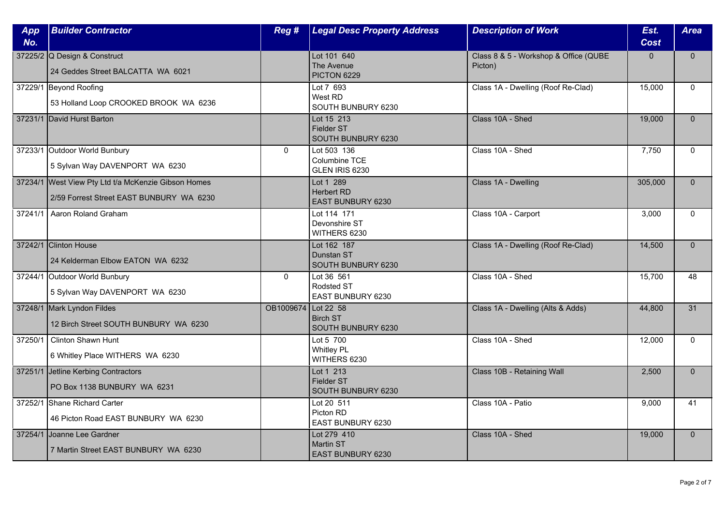| App<br>No. | <b>Builder Contractor</b>                                                                       | Reg #               | <b>Legal Desc Property Address</b>                         | <b>Description of Work</b>                       | Est.<br><b>Cost</b> | <b>Area</b>  |
|------------|-------------------------------------------------------------------------------------------------|---------------------|------------------------------------------------------------|--------------------------------------------------|---------------------|--------------|
|            | 37225/2 Q Design & Construct<br>24 Geddes Street BALCATTA WA 6021                               |                     | Lot 101 640<br>The Avenue<br>PICTON 6229                   | Class 8 & 5 - Workshop & Office (QUBE<br>Picton) | $\mathbf{0}$        | $\mathbf{0}$ |
|            | 37229/1 Beyond Roofing<br>53 Holland Loop CROOKED BROOK WA 6236                                 |                     | Lot 7 693<br>West RD<br>SOUTH BUNBURY 6230                 | Class 1A - Dwelling (Roof Re-Clad)               | 15,000              | $\Omega$     |
|            | 37231/1 David Hurst Barton                                                                      |                     | Lot 15 213<br><b>Fielder ST</b><br>SOUTH BUNBURY 6230      | Class 10A - Shed                                 | 19,000              | $\Omega$     |
|            | 37233/1 Outdoor World Bunbury<br>5 Sylvan Way DAVENPORT WA 6230                                 | $\mathbf{0}$        | Lot 503 136<br>Columbine TCE<br>GLEN IRIS 6230             | Class 10A - Shed                                 | 7,750               | $\mathbf{0}$ |
|            | 37234/1 West View Pty Ltd t/a McKenzie Gibson Homes<br>2/59 Forrest Street EAST BUNBURY WA 6230 |                     | Lot 1 289<br><b>Herbert RD</b><br><b>EAST BUNBURY 6230</b> | Class 1A - Dwelling                              | 305,000             | $\Omega$     |
| 37241/1    | Aaron Roland Graham                                                                             |                     | Lot 114 171<br>Devonshire ST<br>WITHERS 6230               | Class 10A - Carport                              | 3,000               | $\Omega$     |
|            | 37242/1 Clinton House<br>24 Kelderman Elbow EATON WA 6232                                       |                     | Lot 162 187<br>Dunstan ST<br>SOUTH BUNBURY 6230            | Class 1A - Dwelling (Roof Re-Clad)               | 14,500              | $\mathbf{0}$ |
|            | 37244/1 Outdoor World Bunbury<br>5 Sylvan Way DAVENPORT WA 6230                                 | $\mathbf{0}$        | Lot 36 561<br>Rodsted ST<br>EAST BUNBURY 6230              | Class 10A - Shed                                 | 15,700              | 48           |
|            | 37248/1 Mark Lyndon Fildes<br>12 Birch Street SOUTH BUNBURY WA 6230                             | OB1009674 Lot 22 58 | <b>Birch ST</b><br>SOUTH BUNBURY 6230                      | Class 1A - Dwelling (Alts & Adds)                | 44,800              | 31           |
| 37250/1    | Clinton Shawn Hunt<br>6 Whitley Place WITHERS WA 6230                                           |                     | Lot 5 700<br><b>Whitley PL</b><br>WITHERS 6230             | Class 10A - Shed                                 | 12,000              | $\mathbf{0}$ |
|            | 37251/1 Jetline Kerbing Contractors<br>PO Box 1138 BUNBURY WA 6231                              |                     | Lot 1 213<br>Fielder ST<br>SOUTH BUNBURY 6230              | Class 10B - Retaining Wall                       | 2,500               | $\mathbf{0}$ |
|            | 37252/1 Shane Richard Carter<br>46 Picton Road EAST BUNBURY WA 6230                             |                     | Lot 20 511<br>Picton RD<br>EAST BUNBURY 6230               | Class 10A - Patio                                | 9,000               | 41           |
| 37254/1    | <b>Joanne Lee Gardner</b><br>7 Martin Street EAST BUNBURY WA 6230                               |                     | Lot 279 410<br>Martin ST<br>EAST BUNBURY 6230              | Class 10A - Shed                                 | 19,000              | $\mathbf{0}$ |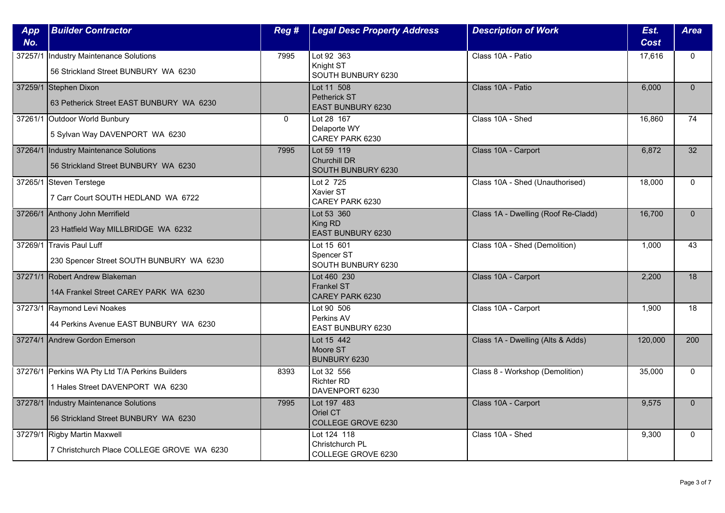| App<br>No. | <b>Builder Contractor</b>                                                           | Reg #        | <b>Legal Desc Property Address</b>                      | <b>Description of Work</b>          | Est.<br><b>Cost</b> | <b>Area</b>  |
|------------|-------------------------------------------------------------------------------------|--------------|---------------------------------------------------------|-------------------------------------|---------------------|--------------|
| 37257/1    | Industry Maintenance Solutions<br>56 Strickland Street BUNBURY WA 6230              | 7995         | Lot 92 363<br>Knight ST<br>SOUTH BUNBURY 6230           | Class 10A - Patio                   | 17,616              | $\mathbf{0}$ |
|            | 37259/1 Stephen Dixon<br>63 Petherick Street EAST BUNBURY WA 6230                   |              | Lot 11 508<br>Petherick ST<br><b>EAST BUNBURY 6230</b>  | Class 10A - Patio                   | 6.000               | $\Omega$     |
|            | 37261/1 Outdoor World Bunbury<br>5 Sylvan Way DAVENPORT WA 6230                     | $\mathbf{0}$ | Lot 28 167<br>Delaporte WY<br>CAREY PARK 6230           | Class 10A - Shed                    | 16,860              | 74           |
|            | 37264/1 Industry Maintenance Solutions<br>56 Strickland Street BUNBURY WA 6230      | 7995         | Lot 59 119<br><b>Churchill DR</b><br>SOUTH BUNBURY 6230 | Class 10A - Carport                 | 6,872               | 32           |
|            | 37265/1 Steven Terstege<br>7 Carr Court SOUTH HEDLAND WA 6722                       |              | Lot 2 725<br>Xavier ST<br>CAREY PARK 6230               | Class 10A - Shed (Unauthorised)     | 18,000              | $\mathbf{0}$ |
|            | 37266/1 Anthony John Merrifield<br>23 Hatfield Way MILLBRIDGE WA 6232               |              | Lot 53 360<br>King RD<br>EAST BUNBURY 6230              | Class 1A - Dwelling (Roof Re-Cladd) | 16,700              | $\Omega$     |
|            | 37269/1 Travis Paul Luff<br>230 Spencer Street SOUTH BUNBURY WA 6230                |              | Lot 15 601<br>Spencer ST<br>SOUTH BUNBURY 6230          | Class 10A - Shed (Demolition)       | 1,000               | 43           |
|            | 37271/1 Robert Andrew Blakeman<br>14A Frankel Street CAREY PARK WA 6230             |              | Lot 460 230<br><b>Frankel ST</b><br>CAREY PARK 6230     | Class 10A - Carport                 | 2,200               | 18           |
|            | 37273/1 Raymond Levi Noakes<br>44 Perkins Avenue EAST BUNBURY WA 6230               |              | Lot 90 506<br>Perkins AV<br><b>EAST BUNBURY 6230</b>    | Class 10A - Carport                 | 1,900               | 18           |
|            | 37274/1 Andrew Gordon Emerson                                                       |              | Lot 15 442<br>Moore ST<br>BUNBURY 6230                  | Class 1A - Dwelling (Alts & Adds)   | 120,000             | 200          |
|            | 37276/1 Perkins WA Pty Ltd T/A Perkins Builders<br>1 Hales Street DAVENPORT WA 6230 | 8393         | Lot 32 556<br><b>Richter RD</b><br>DAVENPORT 6230       | Class 8 - Workshop (Demolition)     | 35,000              | $\mathbf{0}$ |
|            | 37278/1 Industry Maintenance Solutions<br>56 Strickland Street BUNBURY WA 6230      | 7995         | Lot 197 483<br>Oriel CT<br>COLLEGE GROVE 6230           | Class 10A - Carport                 | 9,575               | $\Omega$     |
|            | 37279/1 Rigby Martin Maxwell<br>7 Christchurch Place COLLEGE GROVE WA 6230          |              | Lot 124 118<br>Christchurch PL<br>COLLEGE GROVE 6230    | Class 10A - Shed                    | 9,300               | $\mathbf{0}$ |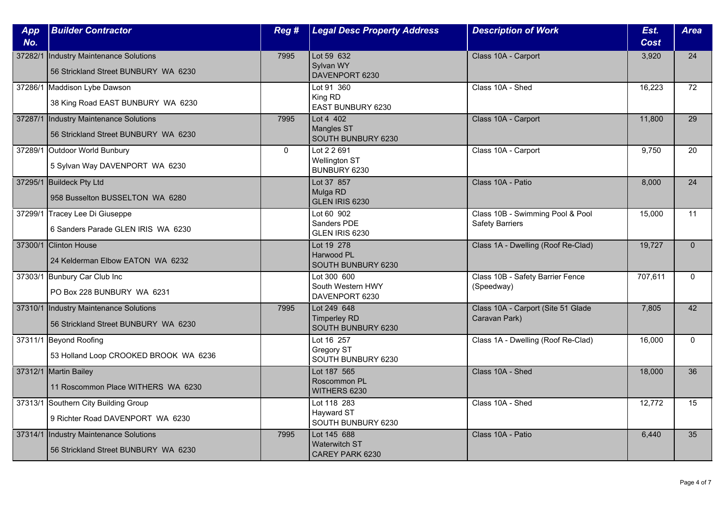| App<br>No. | <b>Builder Contractor</b>                                                      | Reg #        | <b>Legal Desc Property Address</b>                       | <b>Description of Work</b>                                 | Est.<br><b>Cost</b> | <b>Area</b>  |
|------------|--------------------------------------------------------------------------------|--------------|----------------------------------------------------------|------------------------------------------------------------|---------------------|--------------|
| 37282/1    | Industry Maintenance Solutions<br>56 Strickland Street BUNBURY WA 6230         | 7995         | Lot 59 632<br>Sylvan WY<br>DAVENPORT 6230                | Class 10A - Carport                                        | 3,920               | 24           |
|            | 37286/1 Maddison Lybe Dawson<br>38 King Road EAST BUNBURY WA 6230              |              | Lot 91 360<br>King RD<br>EAST BUNBURY 6230               | Class 10A - Shed                                           | 16,223              | 72           |
| 37287/1    | Industry Maintenance Solutions<br>56 Strickland Street BUNBURY WA 6230         | 7995         | Lot 4 402<br>Mangles ST<br>SOUTH BUNBURY 6230            | Class 10A - Carport                                        | 11,800              | 29           |
|            | 37289/1 Outdoor World Bunbury<br>5 Sylvan Way DAVENPORT WA 6230                | $\mathbf{0}$ | Lot 2 2 691<br>Wellington ST<br>BUNBURY 6230             | Class 10A - Carport                                        | 9,750               | 20           |
|            | 37295/1 Buildeck Pty Ltd<br>958 Busselton BUSSELTON WA 6280                    |              | Lot 37 857<br>Mulga RD<br>GLEN IRIS 6230                 | Class 10A - Patio                                          | 8,000               | 24           |
|            | 37299/1 Tracey Lee Di Giuseppe<br>6 Sanders Parade GLEN IRIS WA 6230           |              | Lot 60 902<br>Sanders PDE<br>GLEN IRIS 6230              | Class 10B - Swimming Pool & Pool<br><b>Safety Barriers</b> | 15,000              | 11           |
|            | 37300/1 Clinton House<br>24 Kelderman Elbow EATON WA 6232                      |              | Lot 19 278<br>Harwood PL<br>SOUTH BUNBURY 6230           | Class 1A - Dwelling (Roof Re-Clad)                         | 19,727              | $\mathbf{0}$ |
|            | 37303/1 Bunbury Car Club Inc<br>PO Box 228 BUNBURY WA 6231                     |              | Lot 300 600<br>South Western HWY<br>DAVENPORT 6230       | Class 10B - Safety Barrier Fence<br>(Speedway)             | 707,611             | $\mathbf{0}$ |
|            | 37310/1 Industry Maintenance Solutions<br>56 Strickland Street BUNBURY WA 6230 | 7995         | Lot 249 648<br><b>Timperley RD</b><br>SOUTH BUNBURY 6230 | Class 10A - Carport (Site 51 Glade<br>Caravan Park)        | 7,805               | 42           |
|            | 37311/1 Beyond Roofing<br>53 Holland Loop CROOKED BROOK WA 6236                |              | Lot 16 257<br>Gregory ST<br>SOUTH BUNBURY 6230           | Class 1A - Dwelling (Roof Re-Clad)                         | 16,000              | $\mathbf{0}$ |
|            | 37312/1 Martin Bailey<br>11 Roscommon Place WITHERS WA 6230                    |              | Lot 187 565<br>Roscommon PL<br>WITHERS 6230              | Class 10A - Shed                                           | 18,000              | 36           |
|            | 37313/1 Southern City Building Group<br>9 Richter Road DAVENPORT WA 6230       |              | Lot 118 283<br>Hayward ST<br>SOUTH BUNBURY 6230          | Class 10A - Shed                                           | 12,772              | 15           |
| 37314/1    | Industry Maintenance Solutions<br>56 Strickland Street BUNBURY WA 6230         | 7995         | Lot 145 688<br><b>Waterwitch ST</b><br>CAREY PARK 6230   | Class 10A - Patio                                          | 6,440               | 35           |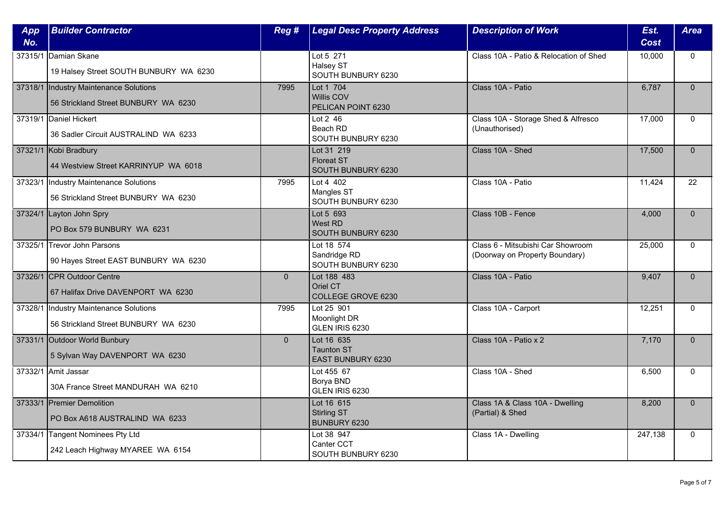| App<br>No. | <b>Builder Contractor</b>                                                      | Reg #        | <b>Legal Desc Property Address</b>                    | <b>Description of Work</b>                                          | Est.<br><b>Cost</b> | <b>Area</b>  |
|------------|--------------------------------------------------------------------------------|--------------|-------------------------------------------------------|---------------------------------------------------------------------|---------------------|--------------|
|            | 37315/1 Damian Skane<br>19 Halsey Street SOUTH BUNBURY WA 6230                 |              | Lot 5 271<br>Halsey ST<br>SOUTH BUNBURY 6230          | Class 10A - Patio & Relocation of Shed                              | 10,000              | $\mathbf{0}$ |
|            | 37318/1 Industry Maintenance Solutions<br>56 Strickland Street BUNBURY WA 6230 | 7995         | Lot 1 704<br>Willis COV<br>PELICAN POINT 6230         | Class 10A - Patio                                                   | 6.787               | $\Omega$     |
|            | 37319/1 Daniel Hickert<br>36 Sadler Circuit AUSTRALIND WA 6233                 |              | Lot $2$ 46<br>Beach RD<br>SOUTH BUNBURY 6230          | Class 10A - Storage Shed & Alfresco<br>(Unauthorised)               | 17,000              | $\Omega$     |
|            | 37321/1 Kobi Bradbury<br>44 Westview Street KARRINYUP WA 6018                  |              | Lot 31 219<br><b>Floreat ST</b><br>SOUTH BUNBURY 6230 | Class 10A - Shed                                                    | 17,500              | $\mathbf{0}$ |
| 37323/1    | Industry Maintenance Solutions<br>56 Strickland Street BUNBURY WA 6230         | 7995         | Lot 4 402<br>Mangles ST<br>SOUTH BUNBURY 6230         | Class 10A - Patio                                                   | 11,424              | 22           |
|            | 37324/1 Layton John Spry<br>PO Box 579 BUNBURY WA 6231                         |              | Lot 5 693<br>West RD<br>SOUTH BUNBURY 6230            | Class 10B - Fence                                                   | 4,000               | $\Omega$     |
|            | 37325/1 Trevor John Parsons<br>90 Hayes Street EAST BUNBURY WA 6230            |              | Lot 18 574<br>Sandridge RD<br>SOUTH BUNBURY 6230      | Class 6 - Mitsubishi Car Showroom<br>(Doorway on Property Boundary) | 25,000              | $\mathbf 0$  |
|            | 37326/1 CPR Outdoor Centre<br>67 Halifax Drive DAVENPORT WA 6230               | $\mathbf{0}$ | Lot 188 483<br>Oriel CT<br>COLLEGE GROVE 6230         | Class 10A - Patio                                                   | 9,407               | $\mathbf{0}$ |
| 37328/1    | Industry Maintenance Solutions<br>56 Strickland Street BUNBURY WA 6230         | 7995         | Lot 25 901<br>Moonlight DR<br>GLEN IRIS 6230          | Class 10A - Carport                                                 | 12,251              | $\Omega$     |
|            | 37331/1 Outdoor World Bunbury<br>5 Sylvan Way DAVENPORT WA 6230                | $\mathbf{0}$ | Lot 16 635<br><b>Taunton ST</b><br>EAST BUNBURY 6230  | Class 10A - Patio x 2                                               | 7,170               | $\mathbf{0}$ |
| 37332/1    | Amit Jassar<br>30A France Street MANDURAH WA 6210                              |              | Lot 455 67<br>Borya BND<br>GLEN IRIS 6230             | Class 10A - Shed                                                    | 6,500               | $\mathbf{0}$ |
|            | 37333/1 Premier Demolition<br>PO Box A618 AUSTRALIND WA 6233                   |              | Lot 16 615<br>Stirling ST<br>BUNBURY 6230             | Class 1A & Class 10A - Dwelling<br>(Partial) & Shed                 | 8,200               | $\Omega$     |
|            | 37334/1 Tangent Nominees Pty Ltd<br>242 Leach Highway MYAREE WA 6154           |              | Lot 38 947<br>Canter CCT<br>SOUTH BUNBURY 6230        | Class 1A - Dwelling                                                 | 247,138             | $\mathbf{0}$ |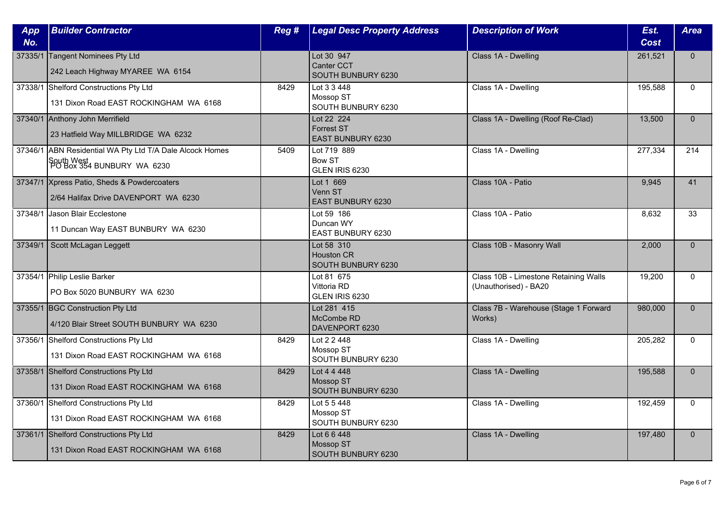| App     | <b>Builder Contractor</b>                                | Reg # | <b>Legal Desc Property Address</b>      | <b>Description of Work</b>            | Est.        | <b>Area</b>  |
|---------|----------------------------------------------------------|-------|-----------------------------------------|---------------------------------------|-------------|--------------|
| No.     |                                                          |       |                                         |                                       | <b>Cost</b> |              |
|         | 37335/1 Tangent Nominees Pty Ltd                         |       | Lot 30 947                              | Class 1A - Dwelling                   | 261,521     | $\Omega$     |
|         | 242 Leach Highway MYAREE WA 6154                         |       | <b>Canter CCT</b><br>SOUTH BUNBURY 6230 |                                       |             |              |
|         | 37338/1 Shelford Constructions Pty Ltd                   | 8429  | Lot 3 3 448                             | Class 1A - Dwelling                   | 195,588     | $\mathbf{0}$ |
|         | 131 Dixon Road EAST ROCKINGHAM WA 6168                   |       | Mossop ST<br>SOUTH BUNBURY 6230         |                                       |             |              |
|         | 37340/1 Anthony John Merrifield                          |       | Lot 22 224                              | Class 1A - Dwelling (Roof Re-Clad)    | 13,500      | $\Omega$     |
|         | 23 Hatfield Way MILLBRIDGE WA 6232                       |       | <b>Forrest ST</b><br>EAST BUNBURY 6230  |                                       |             |              |
|         | 37346/1 ABN Residential WA Pty Ltd T/A Dale Alcock Homes | 5409  | Lot 719 889                             | Class 1A - Dwelling                   | 277,334     | 214          |
|         | South West<br>  PO Box 354 BUNBURY  WA  6230             |       | <b>Bow ST</b><br>GLEN IRIS 6230         |                                       |             |              |
|         | 37347/1 Xpress Patio, Sheds & Powdercoaters              |       | Lot 1 669                               | Class 10A - Patio                     | 9,945       | 41           |
|         | 2/64 Halifax Drive DAVENPORT WA 6230                     |       | Venn ST<br><b>EAST BUNBURY 6230</b>     |                                       |             |              |
| 37348/1 | Jason Blair Ecclestone                                   |       | Lot 59 186                              | Class 10A - Patio                     | 8,632       | 33           |
|         | 11 Duncan Way EAST BUNBURY WA 6230                       |       | Duncan WY<br>EAST BUNBURY 6230          |                                       |             |              |
| 37349/1 | Scott McLagan Leggett                                    |       | Lot 58 310<br><b>Houston CR</b>         | Class 10B - Masonry Wall              | 2,000       | $\Omega$     |
|         |                                                          |       | SOUTH BUNBURY 6230                      |                                       |             |              |
|         | 37354/1 Philip Leslie Barker                             |       | Lot 81 675                              | Class 10B - Limestone Retaining Walls | 19,200      | $\Omega$     |
|         | PO Box 5020 BUNBURY WA 6230                              |       | Vittoria RD<br>GLEN IRIS 6230           | (Unauthorised) - BA20                 |             |              |
|         | 37355/1 BGC Construction Pty Ltd                         |       | Lot 281 415                             | Class 7B - Warehouse (Stage 1 Forward | 980,000     | $\Omega$     |
|         |                                                          |       | McCombe RD                              | Works)                                |             |              |
|         | 4/120 Blair Street SOUTH BUNBURY WA 6230                 |       | DAVENPORT 6230                          |                                       |             |              |
|         | 37356/1 Shelford Constructions Pty Ltd                   | 8429  | Lot 2 2 448<br>Mossop ST                | Class 1A - Dwelling                   | 205,282     | $\mathbf{0}$ |
|         | 131 Dixon Road EAST ROCKINGHAM WA 6168                   |       | SOUTH BUNBURY 6230                      |                                       |             |              |
|         | 37358/1 Shelford Constructions Pty Ltd                   | 8429  | Lot 4 4 4 4 8                           | Class 1A - Dwelling                   | 195,588     | $\Omega$     |
|         | 131 Dixon Road EAST ROCKINGHAM WA 6168                   |       | Mossop ST<br>SOUTH BUNBURY 6230         |                                       |             |              |
|         | 37360/1 Shelford Constructions Pty Ltd                   | 8429  | Lot 5 5 448                             | Class 1A - Dwelling                   | 192,459     | $\Omega$     |
|         | 131 Dixon Road EAST ROCKINGHAM WA 6168                   |       | Mossop ST<br>SOUTH BUNBURY 6230         |                                       |             |              |
|         | 37361/1 Shelford Constructions Pty Ltd                   | 8429  | Lot 6 6 448                             | Class 1A - Dwelling                   | 197,480     | $\Omega$     |
|         | 131 Dixon Road EAST ROCKINGHAM WA 6168                   |       | <b>Mossop ST</b><br>SOUTH BUNBURY 6230  |                                       |             |              |